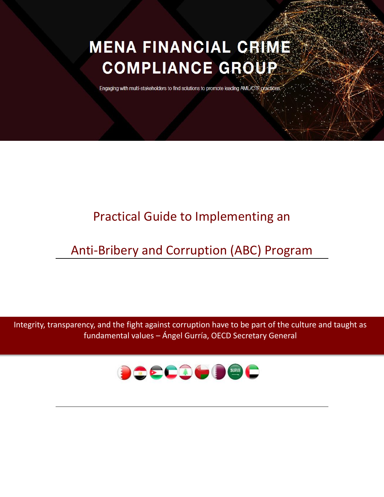# **MENA FINANCIAL CRIME COMPLIANCE GROUP**

Engaging with multi-stakeholders to find solutions to promote leading AML/CTF practices

# Practical Guide to Implementing an

# Anti-Bribery and Corruption (ABC) Program

Integrity, transparency, and the fight against corruption have to be part of the culture and taught as fundamental values – Ángel Gurría, OECD Secretary General

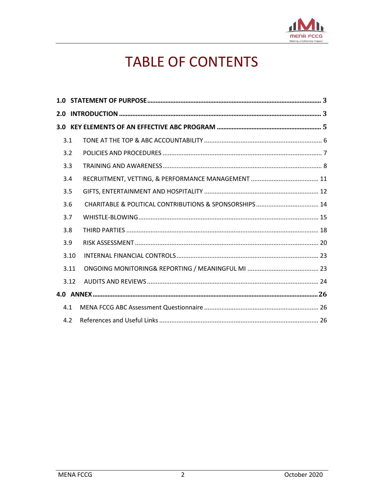

# **TABLE OF CONTENTS**

| 3.1  |  |  |  |  |
|------|--|--|--|--|
| 3.2  |  |  |  |  |
| 3.3  |  |  |  |  |
| 3.4  |  |  |  |  |
| 3.5  |  |  |  |  |
| 3.6  |  |  |  |  |
| 3.7  |  |  |  |  |
| 3.8  |  |  |  |  |
| 3.9  |  |  |  |  |
| 3.10 |  |  |  |  |
| 3.11 |  |  |  |  |
| 3.12 |  |  |  |  |
|      |  |  |  |  |
| 4.1  |  |  |  |  |
| 4.2  |  |  |  |  |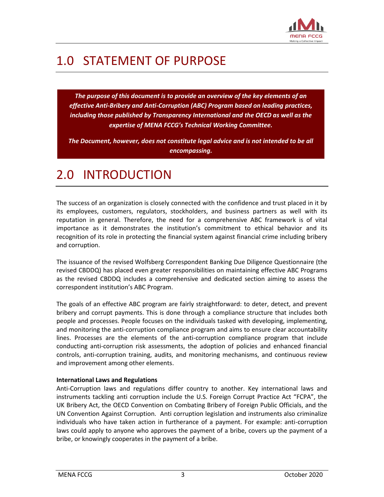

# <span id="page-2-0"></span>1.0 STATEMENT OF PURPOSE

*The purpose of this document is to provide an overview of the key elements of an effective Anti-Bribery and Anti-Corruption (ABC) Program based on leading practices, including those published by Transparency International and the OECD as well as the expertise of MENA FCCG's Technical Working Committee.* 

<span id="page-2-1"></span>*The Document, however, does not constitute legal advice and is not intended to be all encompassing.*

# 2.0 INTRODUCTION

The success of an organization is closely connected with the confidence and trust placed in it by its employees, customers, regulators, stockholders, and business partners as well with its reputation in general. Therefore, the need for a comprehensive ABC framework is of vital importance as it demonstrates the institution's commitment to ethical behavior and its recognition of its role in protecting the financial system against financial crime including bribery and corruption.

The issuance of the revised Wolfsberg Correspondent Banking Due Diligence Questionnaire (the revised CBDDQ) has placed even greater responsibilities on maintaining effective ABC Programs as the revised CBDDQ includes a comprehensive and dedicated section aiming to assess the correspondent institution's ABC Program.

The goals of an effective ABC program are fairly straightforward: to deter, detect, and prevent bribery and corrupt payments. This is done through a compliance structure that includes both people and processes. People focuses on the individuals tasked with developing, implementing, and monitoring the anti-corruption compliance program and aims to ensure clear accountability lines. Processes are the elements of the anti-corruption compliance program that include conducting anti-corruption risk assessments, the adoption of policies and enhanced financial controls, anti-corruption training, audits, and monitoring mechanisms, and continuous review and improvement among other elements.

#### **International Laws and Regulations**

Anti-Corruption laws and regulations differ country to another. Key international laws and instruments tackling anti corruption include the U.S. Foreign Corrupt Practice Act "FCPA", the UK Bribery Act, the OECD Convention on Combating Bribery of Foreign Public Officials, and the UN Convention Against Corruption. Anti corruption legislation and instruments also criminalize individuals who have taken action in furtherance of a payment. For example: anti-corruption laws could apply to anyone who approves the payment of a bribe, covers up the payment of a bribe, or knowingly cooperates in the payment of a bribe.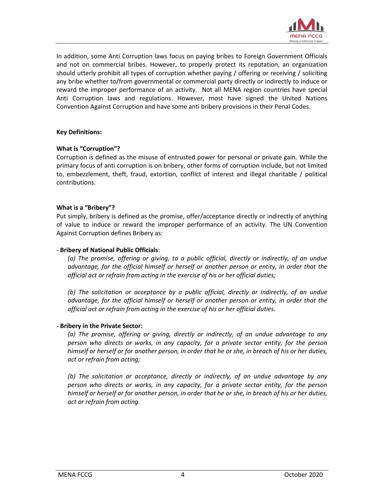

In addition, some Anti Corruption laws focus on paying bribes to Foreign Government Officials and not on commercial bribes. However, to properly protect its reputation, an organization should utterly prohibit all types of corruption whether paying / offering or receiving / soliciting any bribe whether to/from governmental or commercial party directly or indirectly to induce or reward the improper performance of an activity. Not all MENA region countries have special Anti Corruption laws and regulations. However, most have signed the United Nations Convention Against Corruption and have some anti bribery provisions in their Penal Codes.

#### **Key Definitions:**

#### **What is "Corruption"?**

Corruption is defined as the misuse of entrusted power for personal or private gain. While the primary focus of anti corruption is on bribery, other forms of corruption include, but not limited to, embezzlement, theft, fraud, extortion, conflict of interest and illegal charitable / political contributions.

#### **What is a "Bribery"?**

Put simply, bribery is defined as the promise, offer/acceptance directly or indirectly of anything of value to induce or reward the improper performance of an activity. The UN Convention Against Corruption defines Bribery as:

#### - **Bribery of National Public Officials**:

*(a) The promise, offering or giving, to a public official, directly or indirectly, of an undue advantage, for the official himself or herself or another person or entity, in order that the official act or refrain from acting in the exercise of his or her official duties;*

*(b) The solicitation or acceptance by a public official, directly or indirectly, of an undue advantage, for the official himself or herself or another person or entity, in order that the official act or refrain from acting in the exercise of his or her official duties.*

#### - **Bribery in the Private Sector:**

*(a) The promise, offering or giving, directly or indirectly, of an undue advantage to any person who directs or works, in any capacity, for a private sector entity, for the person himself or herself or for another person, in order that he or she, in breach of his or her duties, act or refrain from acting;*

*(b) The solicitation or acceptance, directly or indirectly, of an undue advantage by any person who directs or works, in any capacity, for a private sector entity, for the person himself or herself or for another person, in order that he or she, in breach of his or her duties, act or refrain from acting.*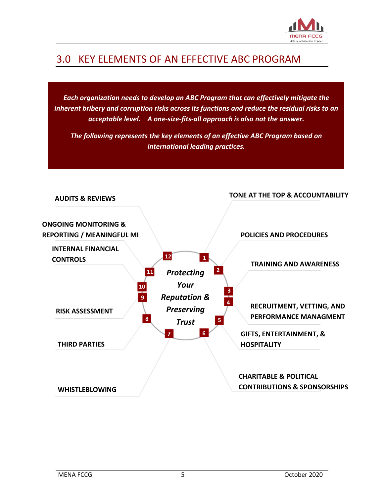

### <span id="page-4-0"></span>3.0 KEY ELEMENTS OF AN EFFECTIVE ABC PROGRAM

*Each organization needs to develop an ABC Program that can effectively mitigate the inherent bribery and corruption risks across its functions and reduce the residual risks to an acceptable level. A one-size-fits-all approach is also not the answer.* 

*The following represents the key elements of an effective ABC Program based on international leading practices.*

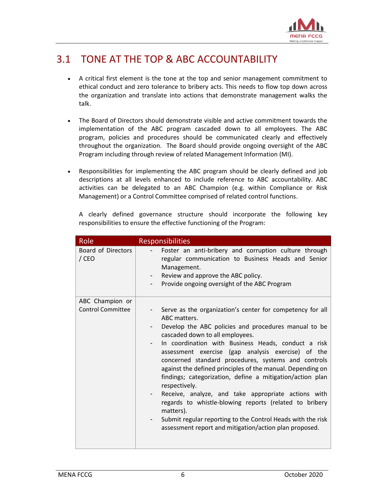

### <span id="page-5-0"></span>3.1 TONE AT THE TOP & ABC ACCOUNTABILITY

- A critical first element is the tone at the top and senior management commitment to ethical conduct and zero tolerance to bribery acts. This needs to flow top down across the organization and translate into actions that demonstrate management walks the talk.
- The Board of Directors should demonstrate visible and active commitment towards the implementation of the ABC program cascaded down to all employees. The ABC program, policies and procedures should be communicated clearly and effectively throughout the organization. The Board should provide ongoing oversight of the ABC Program including through review of related Management Information (MI).
- Responsibilities for implementing the ABC program should be clearly defined and job descriptions at all levels enhanced to include reference to ABC accountability. ABC activities can be delegated to an ABC Champion (e.g. within Compliance or Risk Management) or a Control Committee comprised of related control functions.

|  |                                                                      |  | A clearly defined governance structure should incorporate the following key |  |  |
|--|----------------------------------------------------------------------|--|-----------------------------------------------------------------------------|--|--|
|  | responsibilities to ensure the effective functioning of the Program: |  |                                                                             |  |  |

| Role                                        | <b>Responsibilities</b>                                                                                                                                                                                                                                                                                                                                                                                                                                                                                                                                                                                                                                                                                                                                    |
|---------------------------------------------|------------------------------------------------------------------------------------------------------------------------------------------------------------------------------------------------------------------------------------------------------------------------------------------------------------------------------------------------------------------------------------------------------------------------------------------------------------------------------------------------------------------------------------------------------------------------------------------------------------------------------------------------------------------------------------------------------------------------------------------------------------|
| Board of Directors<br>/ CEO                 | Foster an anti-bribery and corruption culture through<br>regular communication to Business Heads and Senior<br>Management.<br>Review and approve the ABC policy.<br>$ -$<br>Provide ongoing oversight of the ABC Program                                                                                                                                                                                                                                                                                                                                                                                                                                                                                                                                   |
| ABC Champion or<br><b>Control Committee</b> | Serve as the organization's center for competency for all<br>ABC matters.<br>Develop the ABC policies and procedures manual to be<br>cascaded down to all employees.<br>In coordination with Business Heads, conduct a risk<br>-<br>assessment exercise (gap analysis exercise) of the<br>concerned standard procedures, systems and controls<br>against the defined principles of the manual. Depending on<br>findings; categorization, define a mitigation/action plan<br>respectively.<br>Receive, analyze, and take appropriate actions with<br>-<br>regards to whistle-blowing reports (related to bribery<br>matters).<br>Submit regular reporting to the Control Heads with the risk<br>-<br>assessment report and mitigation/action plan proposed. |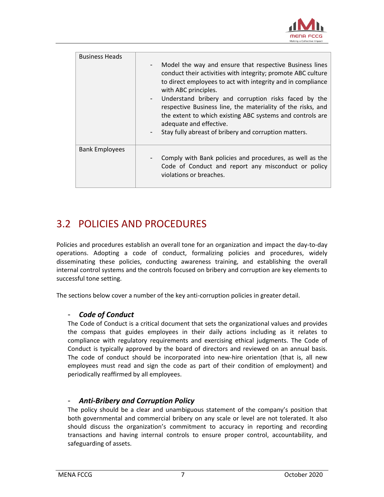

| <b>Business Heads</b> |                                                                                                                                                                                                                                                                                                                                                                                                                                                                                        |
|-----------------------|----------------------------------------------------------------------------------------------------------------------------------------------------------------------------------------------------------------------------------------------------------------------------------------------------------------------------------------------------------------------------------------------------------------------------------------------------------------------------------------|
|                       | Model the way and ensure that respective Business lines<br>conduct their activities with integrity; promote ABC culture<br>to direct employees to act with integrity and in compliance<br>with ABC principles.<br>Understand bribery and corruption risks faced by the<br>respective Business line, the materiality of the risks, and<br>the extent to which existing ABC systems and controls are<br>adequate and effective.<br>Stay fully abreast of bribery and corruption matters. |
| <b>Bank Employees</b> | Comply with Bank policies and procedures, as well as the<br>Code of Conduct and report any misconduct or policy<br>violations or breaches.                                                                                                                                                                                                                                                                                                                                             |

### <span id="page-6-0"></span>3.2 POLICIES AND PROCEDURES

Policies and procedures establish an overall tone for an organization and impact the day-to-day operations. Adopting a code of conduct, formalizing policies and procedures, widely disseminating these policies, conducting awareness training, and establishing the overall internal control systems and the controls focused on bribery and corruption are key elements to successful tone setting.

The sections below cover a number of the key anti-corruption policies in greater detail.

### - *Code of Conduct*

The Code of Conduct is a critical document that sets the organizational values and provides the compass that guides employees in their daily actions including as it relates to compliance with regulatory requirements and exercising ethical judgments. The Code of Conduct is typically approved by the board of directors and reviewed on an annual basis. The code of conduct should be incorporated into new-hire orientation (that is, all new employees must read and sign the code as part of their condition of employment) and periodically reaffirmed by all employees.

### - *Anti-Bribery and Corruption Policy*

The policy should be a clear and unambiguous statement of the company's position that both governmental and commercial bribery on any scale or level are not tolerated. It also should discuss the organization's commitment to accuracy in reporting and recording transactions and having internal controls to ensure proper control, accountability, and safeguarding of assets.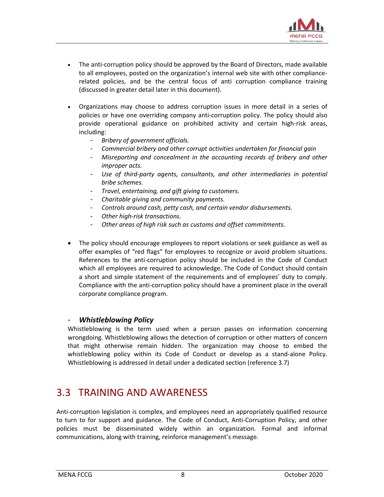

- The anti-corruption policy should be approved by the Board of Directors, made available to all employees, posted on the organization's internal web site with other compliancerelated policies, and be the central focus of anti corruption compliance training (discussed in greater detail later in this document).
- Organizations may choose to address corruption issues in more detail in a series of policies or have one overriding company anti-corruption policy. The policy should also provide operational guidance on prohibited activity and certain high-risk areas, including:
	- *Bribery of government officials.*
	- *Commercial bribery and other corrupt activities undertaken for financial gain*
	- *Misreporting and concealment in the accounting records of bribery and other improper acts.*
	- *Use of third-party agents, consultants, and other intermediaries in potential bribe schemes.*
	- *Travel, entertaining, and gift giving to customers.*
	- *Charitable giving and community payments.*
	- *Controls around cash, petty cash, and certain vendor disbursements.*
	- *Other high-risk transactions.*
	- *Other areas of high risk such as customs and offset commitments.*
- The policy should encourage employees to report violations or seek guidance as well as offer examples of "red flags" for employees to recognize or avoid problem situations. References to the anti-corruption policy should be included in the Code of Conduct which all employees are required to acknowledge. The Code of Conduct should contain a short and simple statement of the requirements and of employees' duty to comply. Compliance with the anti-corruption policy should have a prominent place in the overall corporate compliance program.

#### - *Whistleblowing Policy*

Whistleblowing is the term used when a person passes on information concerning wrongdoing. Whistleblowing allows the detection of corruption or other matters of concern that might otherwise remain hidden. The organization may choose to embed the whistleblowing policy within its Code of Conduct or develop as a stand-alone Policy. Whistleblowing is addressed in detail under a dedicated section (reference 3.7)

### <span id="page-7-0"></span>3.3 TRAINING AND AWARENESS

Anti-corruption legislation is complex, and employees need an appropriately qualified resource to turn to for support and guidance. The Code of Conduct, Anti-Corruption Policy, and other policies must be disseminated widely within an organization. Formal and informal communications, along with training, reinforce management's message.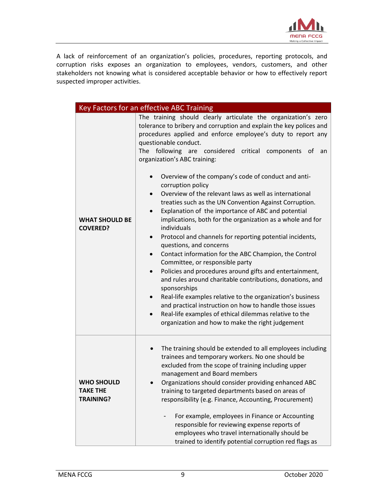

A lack of reinforcement of an organization's policies, procedures, reporting protocols, and corruption risks exposes an organization to employees, vendors, customers, and other stakeholders not knowing what is considered acceptable behavior or how to effectively report suspected improper activities.

|                                                          | Key Factors for an effective ABC Training                                                                                                                                                                                                                                                                                                                                                                                                                                                                                                                                                                                                                                                                                                                                                                                                                                                                                                                                                                                                                                                                                                                                                                                                                                                                                      |
|----------------------------------------------------------|--------------------------------------------------------------------------------------------------------------------------------------------------------------------------------------------------------------------------------------------------------------------------------------------------------------------------------------------------------------------------------------------------------------------------------------------------------------------------------------------------------------------------------------------------------------------------------------------------------------------------------------------------------------------------------------------------------------------------------------------------------------------------------------------------------------------------------------------------------------------------------------------------------------------------------------------------------------------------------------------------------------------------------------------------------------------------------------------------------------------------------------------------------------------------------------------------------------------------------------------------------------------------------------------------------------------------------|
| <b>WHAT SHOULD BE</b><br><b>COVERED?</b>                 | The training should clearly articulate the organization's zero<br>tolerance to bribery and corruption and explain the key polices and<br>procedures applied and enforce employee's duty to report any<br>questionable conduct.<br>The following are considered critical<br>components of<br>an<br>organization's ABC training:<br>Overview of the company's code of conduct and anti-<br>$\bullet$<br>corruption policy<br>Overview of the relevant laws as well as international<br>$\bullet$<br>treaties such as the UN Convention Against Corruption.<br>Explanation of the importance of ABC and potential<br>implications, both for the organization as a whole and for<br>individuals<br>Protocol and channels for reporting potential incidents,<br>$\bullet$<br>questions, and concerns<br>Contact information for the ABC Champion, the Control<br>$\bullet$<br>Committee, or responsible party<br>Policies and procedures around gifts and entertainment,<br>$\bullet$<br>and rules around charitable contributions, donations, and<br>sponsorships<br>Real-life examples relative to the organization's business<br>$\bullet$<br>and practical instruction on how to handle those issues<br>Real-life examples of ethical dilemmas relative to the<br>$\bullet$<br>organization and how to make the right judgement |
| <b>WHO SHOULD</b><br><b>TAKE THE</b><br><b>TRAINING?</b> | The training should be extended to all employees including<br>trainees and temporary workers. No one should be<br>excluded from the scope of training including upper<br>management and Board members<br>Organizations should consider providing enhanced ABC<br>training to targeted departments based on areas of<br>responsibility (e.g. Finance, Accounting, Procurement)<br>For example, employees in Finance or Accounting<br>responsible for reviewing expense reports of<br>employees who travel internationally should be<br>trained to identify potential corruption red flags as                                                                                                                                                                                                                                                                                                                                                                                                                                                                                                                                                                                                                                                                                                                                    |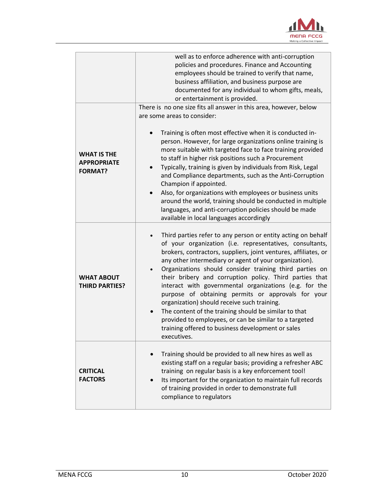

|                                                            | well as to enforce adherence with anti-corruption<br>policies and procedures. Finance and Accounting<br>employees should be trained to verify that name,<br>business affiliation, and business purpose are<br>documented for any individual to whom gifts, meals,<br>or entertainment is provided.                                                                                                                                                                                                                                                                                                                                                                                                                                             |
|------------------------------------------------------------|------------------------------------------------------------------------------------------------------------------------------------------------------------------------------------------------------------------------------------------------------------------------------------------------------------------------------------------------------------------------------------------------------------------------------------------------------------------------------------------------------------------------------------------------------------------------------------------------------------------------------------------------------------------------------------------------------------------------------------------------|
|                                                            | There is no one size fits all answer in this area, however, below<br>are some areas to consider:                                                                                                                                                                                                                                                                                                                                                                                                                                                                                                                                                                                                                                               |
| <b>WHAT IS THE</b><br><b>APPROPRIATE</b><br><b>FORMAT?</b> | Training is often most effective when it is conducted in-<br>person. However, for large organizations online training is<br>more suitable with targeted face to face training provided<br>to staff in higher risk positions such a Procurement<br>Typically, training is given by individuals from Risk, Legal<br>and Compliance departments, such as the Anti-Corruption<br>Champion if appointed.<br>Also, for organizations with employees or business units<br>around the world, training should be conducted in multiple<br>languages, and anti-corruption policies should be made<br>available in local languages accordingly                                                                                                            |
| <b>WHAT ABOUT</b><br><b>THIRD PARTIES?</b>                 | Third parties refer to any person or entity acting on behalf<br>of your organization (i.e. representatives, consultants,<br>brokers, contractors, suppliers, joint ventures, affiliates, or<br>any other intermediary or agent of your organization).<br>Organizations should consider training third parties on<br>their bribery and corruption policy. Third parties that<br>interact with governmental organizations (e.g. for the<br>purpose of obtaining permits or approvals for your<br>organization) should receive such training.<br>The content of the training should be similar to that<br>$\bullet$<br>provided to employees, or can be similar to a targeted<br>training offered to business development or sales<br>executives. |
| <b>CRITICAL</b><br><b>FACTORS</b>                          | Training should be provided to all new hires as well as<br>existing staff on a regular basis; providing a refresher ABC<br>training on regular basis is a key enforcement tool!<br>Its important for the organization to maintain full records<br>of training provided in order to demonstrate full<br>compliance to regulators                                                                                                                                                                                                                                                                                                                                                                                                                |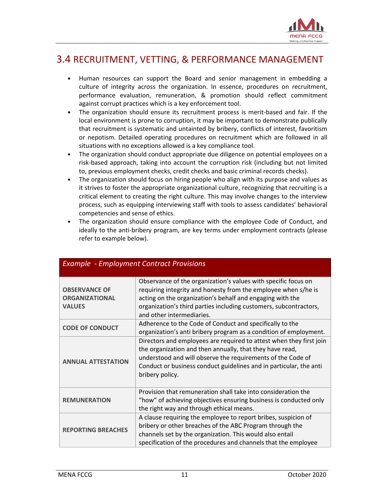

### <span id="page-10-0"></span>3.4 RECRUITMENT, VETTING, & PERFORMANCE MANAGEMENT

- Human resources can support the Board and senior management in embedding a culture of integrity across the organization. In essence, procedures on recruitment, performance evaluation, remuneration, & promotion should reflect commitment against corrupt practices which is a key enforcement tool.
- The organization should ensure its recruitment process is merit-based and fair. If the local environment is prone to corruption, it may be important to demonstrate publically that recruitment is systematic and untainted by bribery, conflicts of interest, favoritism or nepotism. Detailed operating procedures on recruitment which are followed in all situations with no exceptions allowed is a key compliance tool.
- The organization should conduct appropriate due diligence on potential employees on a risk-based approach, taking into account the corruption risk (including but not limited to, previous employment checks, credit checks and basic criminal records checks).
- The organization should focus on hiring people who align with its purpose and values as it strives to foster the appropriate organizational culture, recognizing that recruiting is a critical element to creating the right culture. This may involve changes to the interview process, such as equipping interviewing staff with tools to assess candidates' behavioral competencies and sense of ethics.

| The organization should ensure compliance with the employee Code of Conduct, and      |
|---------------------------------------------------------------------------------------|
| ideally to the anti-bribery program, are key terms under employment contracts (please |
| refer to example below).                                                              |

| LAUTINIC<br><u>Employment contract riovisions</u>              |                                                                                                                                                                                                                                                                                                 |  |
|----------------------------------------------------------------|-------------------------------------------------------------------------------------------------------------------------------------------------------------------------------------------------------------------------------------------------------------------------------------------------|--|
| <b>OBSERVANCE OF</b><br><b>ORGANIZATIONAL</b><br><b>VALUES</b> | Observance of the organization's values with specific focus on<br>requiring integrity and honesty from the employee when s/he is<br>acting on the organization's behalf and engaging with the<br>organization's third parties including customers, subcontractors,<br>and other intermediaries. |  |
| <b>CODE OF CONDUCT</b>                                         | Adherence to the Code of Conduct and specifically to the<br>organization's anti bribery program as a condition of employment.                                                                                                                                                                   |  |
| <b>ANNUAL ATTESTATION</b>                                      | Directors and employees are required to attest when they first join<br>the organization and then annually, that they have read,<br>understood and will observe the requirements of the Code of<br>Conduct or business conduct guidelines and in particular, the anti<br>bribery policy.         |  |
| <b>REMUNERATION</b>                                            | Provision that remuneration shall take into consideration the<br>"how" of achieving objectives ensuring business is conducted only<br>the right way and through ethical means.                                                                                                                  |  |
| <b>REPORTING BREACHES</b>                                      | A clause requiring the employee to report bribes, suspicion of<br>bribery or other breaches of the ABC Program through the<br>channels set by the organization. This would also entail<br>specification of the procedures and channels that the employee                                        |  |

### *Example - Employment Contract Provisions*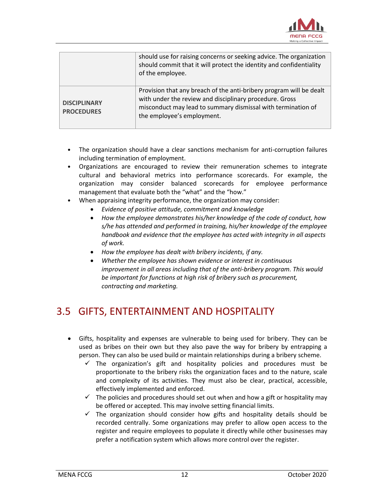

|                                          | should use for raising concerns or seeking advice. The organization<br>should commit that it will protect the identity and confidentiality<br>of the employee.                                                               |
|------------------------------------------|------------------------------------------------------------------------------------------------------------------------------------------------------------------------------------------------------------------------------|
| <b>DISCIPLINARY</b><br><b>PROCEDURES</b> | Provision that any breach of the anti-bribery program will be dealt<br>with under the review and disciplinary procedure. Gross<br>misconduct may lead to summary dismissal with termination of<br>the employee's employment. |

- The organization should have a clear sanctions mechanism for anti-corruption failures including termination of employment.
- Organizations are encouraged to review their remuneration schemes to integrate cultural and behavioral metrics into performance scorecards. For example, the organization may consider balanced scorecards for employee performance management that evaluate both the "what" and the "how."
- When appraising integrity performance, the organization may consider:
	- *Evidence of positive attitude, commitment and knowledge*
	- *How the employee demonstrates his/her knowledge of the code of conduct, how s/he has attended and performed in training, his/her knowledge of the employee handbook and evidence that the employee has acted with integrity in all aspects of work.*
	- *How the employee has dealt with bribery incidents, if any.*
	- *Whether the employee has shown evidence or interest in continuous improvement in all areas including that of the anti-bribery program. This would be important for functions at high risk of bribery such as procurement, contracting and marketing.*

### <span id="page-11-0"></span>3.5 GIFTS, ENTERTAINMENT AND HOSPITALITY

- Gifts, hospitality and expenses are vulnerable to being used for bribery. They can be used as bribes on their own but they also pave the way for bribery by entrapping a person. They can also be used build or maintain relationships during a bribery scheme.
	- $\checkmark$  The organization's gift and hospitality policies and procedures must be proportionate to the bribery risks the organization faces and to the nature, scale and complexity of its activities. They must also be clear, practical, accessible, effectively implemented and enforced.
	- $\checkmark$  The policies and procedures should set out when and how a gift or hospitality may be offered or accepted. This may involve setting financial limits.
	- $\checkmark$  The organization should consider how gifts and hospitality details should be recorded centrally. Some organizations may prefer to allow open access to the register and require employees to populate it directly while other businesses may prefer a notification system which allows more control over the register.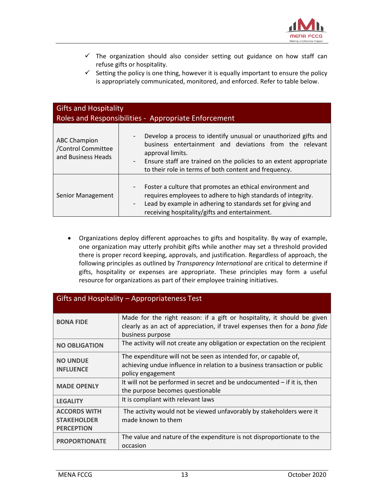

- $\checkmark$  The organization should also consider setting out guidance on how staff can refuse gifts or hospitality.
- $\checkmark$  Setting the policy is one thing, however it is equally important to ensure the policy is appropriately communicated, monitored, and enforced. Refer to table below.

| <b>Gifts and Hospitality</b><br>Roles and Responsibilities - Appropriate Enforcement |                                                                                                                                                                                                                                                                                                                                      |  |  |  |
|--------------------------------------------------------------------------------------|--------------------------------------------------------------------------------------------------------------------------------------------------------------------------------------------------------------------------------------------------------------------------------------------------------------------------------------|--|--|--|
| <b>ABC Champion</b><br>/Control Committee<br>and Business Heads                      | Develop a process to identify unusual or unauthorized gifts and<br>$\overline{\phantom{a}}$<br>business entertainment and deviations from the relevant<br>approval limits.<br>Ensure staff are trained on the policies to an extent appropriate<br>$\overline{\phantom{a}}$<br>to their role in terms of both content and frequency. |  |  |  |
| Senior Management                                                                    | Foster a culture that promotes an ethical environment and<br>-<br>requires employees to adhere to high standards of integrity.<br>Lead by example in adhering to standards set for giving and<br>$\overline{\phantom{a}}$<br>receiving hospitality/gifts and entertainment.                                                          |  |  |  |

 Organizations deploy different approaches to gifts and hospitality. By way of example, one organization may utterly prohibit gifts while another may set a threshold provided there is proper record keeping, approvals, and justification. Regardless of approach, the following principles as outlined by *Transparency International* are critical to determine if gifts, hospitality or expenses are appropriate. These principles may form a useful resource for organizations as part of their employee training initiatives.

| Gifts and Hospitality - Appropriateness Test                   |                                                                                                                                                                           |  |  |  |
|----------------------------------------------------------------|---------------------------------------------------------------------------------------------------------------------------------------------------------------------------|--|--|--|
| <b>BONA FIDE</b>                                               | Made for the right reason: if a gift or hospitality, it should be given<br>clearly as an act of appreciation, if travel expenses then for a bona fide<br>business purpose |  |  |  |
| <b>NO OBLIGATION</b>                                           | The activity will not create any obligation or expectation on the recipient                                                                                               |  |  |  |
| <b>NO UNDUE</b><br><b>INFLUENCE</b>                            | The expenditure will not be seen as intended for, or capable of,<br>achieving undue influence in relation to a business transaction or public<br>policy engagement        |  |  |  |
| <b>MADE OPENLY</b>                                             | It will not be performed in secret and be undocumented $-$ if it is, then<br>the purpose becomes questionable                                                             |  |  |  |
| <b>LEGALITY</b>                                                | It is compliant with relevant laws                                                                                                                                        |  |  |  |
| <b>ACCORDS WITH</b><br><b>STAKEHOLDER</b><br><b>PERCEPTION</b> | The activity would not be viewed unfavorably by stakeholders were it<br>made known to them                                                                                |  |  |  |
| <b>PROPORTIONATE</b>                                           | The value and nature of the expenditure is not disproportionate to the<br>occasion                                                                                        |  |  |  |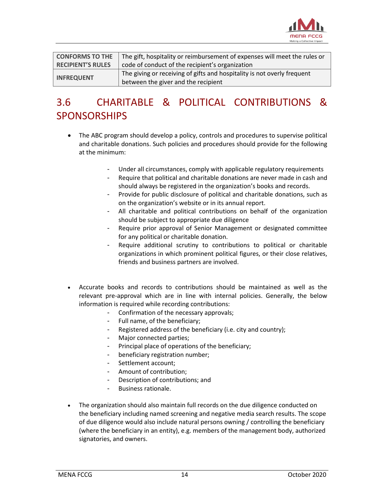

| <b>CONFORMS TO THE</b>   | The gift, hospitality or reimbursement of expenses will meet the rules or |
|--------------------------|---------------------------------------------------------------------------|
| <b>RECIPIENT'S RULES</b> | code of conduct of the recipient's organization                           |
|                          | The giving or receiving of gifts and hospitality is not overly frequent   |
| <b>INFREQUENT</b>        | between the giver and the recipient                                       |

## <span id="page-13-0"></span>3.6 CHARITABLE & POLITICAL CONTRIBUTIONS & **SPONSORSHIPS**

- The ABC program should develop a policy, controls and procedures to supervise political and charitable donations. Such policies and procedures should provide for the following at the minimum:
	- Under all circumstances, comply with applicable regulatory requirements
	- Require that political and charitable donations are never made in cash and should always be registered in the organization's books and records.
	- Provide for public disclosure of political and charitable donations, such as on the organization's website or in its annual report.
	- All charitable and political contributions on behalf of the organization should be subject to appropriate due diligence
	- Require prior approval of Senior Management or designated committee for any political or charitable donation.
	- Require additional scrutiny to contributions to political or charitable organizations in which prominent political figures, or their close relatives, friends and business partners are involved.
- Accurate books and records to contributions should be maintained as well as the relevant pre-approval which are in line with internal policies. Generally, the below information is required while recording contributions:
	- Confirmation of the necessary approvals;
	- Full name, of the beneficiary;
	- Registered address of the beneficiary (i.e. city and country);
	- Major connected parties;
	- Principal place of operations of the beneficiary;
	- beneficiary registration number;
	- Settlement account;
	- Amount of contribution;
	- Description of contributions; and
	- Business rationale.
- The organization should also maintain full records on the due diligence conducted on the beneficiary including named screening and negative media search results. The scope of due diligence would also include natural persons owning / controlling the beneficiary (where the beneficiary in an entity), e.g. members of the management body, authorized signatories, and owners.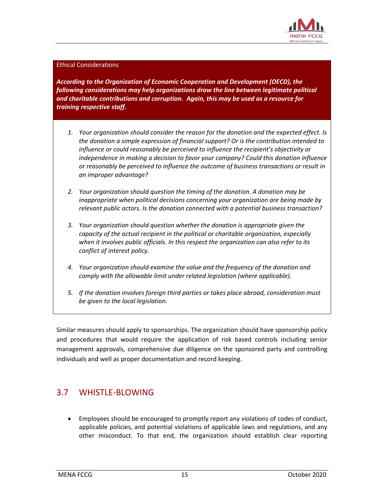

#### Ethical Considerations

*According to the Organization of Economic Cooperation and Development (OECD), the following considerations may help organizations draw the line between legitimate political and charitable contributions and corruption. Again, this may be used as a resource for training respective staff.* 

- *1. Your organization should consider the reason for the donation and the expected effect. Is the donation a simple expression of financial support? Or is the contribution intended to influence or could reasonably be perceived to influence the recipient's objectivity or independence in making a decision to favor your company? Could this donation influence or reasonably be perceived to influence the outcome of business transactions or result in an improper advantage?*
- *2. Your organization should question the timing of the donation. A donation may be inappropriate when political decisions concerning your organization are being made by relevant public actors. Is the donation connected with a potential business transaction?*
- *3. Your organization should question whether the donation is appropriate given the capacity of the actual recipient in the political or charitable organization, especially when it involves public officials. In this respect the organization can also refer to its conflict of interest policy.*
- *4. Your organization should examine the value and the frequency of the donation and comply with the allowable limit under related legislation (where applicable).*
- *5. If the donation involves foreign third parties or takes place abroad, consideration must be given to the local legislation.*

Similar measures should apply to sponsorships. The organization should have sponsorship policy and procedures that would require the application of risk based controls including senior management approvals, comprehensive due diligence on the sponsored party and controlling individuals and well as proper documentation and record keeping.

### <span id="page-14-0"></span>3.7 WHISTLE-BLOWING

 Employees should be encouraged to promptly report any violations of codes of conduct, applicable policies, and potential violations of applicable laws and regulations, and any other misconduct. To that end, the organization should establish clear reporting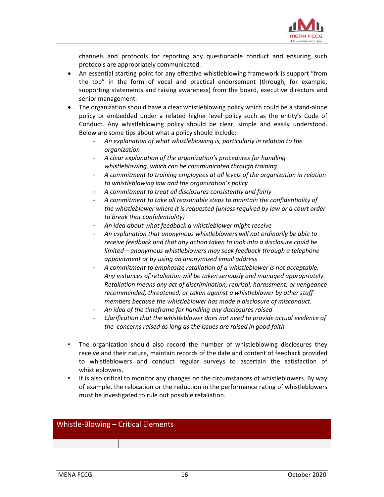

channels and protocols for reporting any questionable conduct and ensuring such protocols are appropriately communicated.

- An essential starting point for any effective whistleblowing framework is support "from the top" in the form of vocal and practical endorsement (through, for example, supporting statements and raising awareness) from the board, executive directors and senior management.
- The organization should have a clear whistleblowing policy which could be a stand-alone policy or embedded under a related higher level policy such as the entity's Code of Conduct. Any whistleblowing policy should be clear, simple and easily understood. Below are some tips about what a policy should include:
	- *An explanation of what whistleblowing is, particularly in relation to the organization*
	- *A clear explanation of the organization's procedures for handling whistleblowing, which can be communicated through training*
	- *A commitment to training employees at all levels of the organization in relation to whistleblowing law and the organization's policy*
	- *A commitment to treat all disclosures consistently and fairly*
	- *A commitment to take all reasonable steps to maintain the confidentiality of the whistleblower where it is requested (unless required by law or a court order to break that confidentiality)*
	- *An idea about what feedback a whistleblower might receive*
	- *An explanation that anonymous whistleblowers will not ordinarily be able to receive feedback and that any action taken to look into a disclosure could be limited – anonymous whistleblowers may seek feedback through a telephone appointment or by using an anonymized email address*
	- *A commitment to emphasize retaliation of a whistleblower is not acceptable. Any instances of retaliation will be taken seriously and managed appropriately. Retaliation means any act of discrimination, reprisal, harassment, or vengeance recommended, threatened, or taken against a whistleblower by other staff members because the whistleblower has made a disclosure of misconduct.*
	- *An idea of the timeframe for handling any disclosures raised*
	- *Clarification that the whistleblower does not need to provide actual evidence of the concerns raised as long as the issues are raised in good faith*
- The organization should also record the number of whistleblowing disclosures they receive and their nature, maintain records of the date and content of feedback provided to whistleblowers and conduct regular surveys to ascertain the satisfaction of whistleblowers.
- It is also critical to monitor any changes on the circumstances of whistleblowers. By way of example, the relocation or the reduction in the performance rating of whistleblowers must be investigated to rule out possible retaliation.

#### Whistle-Blowing – Critical Elements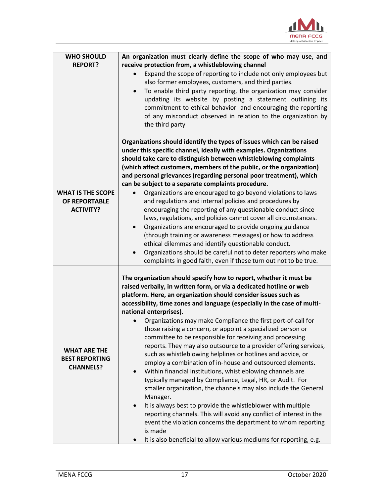

| <b>WHO SHOULD</b>                                                | An organization must clearly define the scope of who may use, and                                                                                                                                                                                                                                                                                                                                                                                                                                                                                                                                                                                                                                                                                                                                                                                                                                                                                                                                                                                                                                                                                                                                                            |
|------------------------------------------------------------------|------------------------------------------------------------------------------------------------------------------------------------------------------------------------------------------------------------------------------------------------------------------------------------------------------------------------------------------------------------------------------------------------------------------------------------------------------------------------------------------------------------------------------------------------------------------------------------------------------------------------------------------------------------------------------------------------------------------------------------------------------------------------------------------------------------------------------------------------------------------------------------------------------------------------------------------------------------------------------------------------------------------------------------------------------------------------------------------------------------------------------------------------------------------------------------------------------------------------------|
| <b>REPORT?</b>                                                   | receive protection from, a whistleblowing channel                                                                                                                                                                                                                                                                                                                                                                                                                                                                                                                                                                                                                                                                                                                                                                                                                                                                                                                                                                                                                                                                                                                                                                            |
|                                                                  | Expand the scope of reporting to include not only employees but                                                                                                                                                                                                                                                                                                                                                                                                                                                                                                                                                                                                                                                                                                                                                                                                                                                                                                                                                                                                                                                                                                                                                              |
|                                                                  | also former employees, customers, and third parties.                                                                                                                                                                                                                                                                                                                                                                                                                                                                                                                                                                                                                                                                                                                                                                                                                                                                                                                                                                                                                                                                                                                                                                         |
|                                                                  | To enable third party reporting, the organization may consider<br>$\bullet$                                                                                                                                                                                                                                                                                                                                                                                                                                                                                                                                                                                                                                                                                                                                                                                                                                                                                                                                                                                                                                                                                                                                                  |
|                                                                  | updating its website by posting a statement outlining its                                                                                                                                                                                                                                                                                                                                                                                                                                                                                                                                                                                                                                                                                                                                                                                                                                                                                                                                                                                                                                                                                                                                                                    |
|                                                                  | commitment to ethical behavior and encouraging the reporting                                                                                                                                                                                                                                                                                                                                                                                                                                                                                                                                                                                                                                                                                                                                                                                                                                                                                                                                                                                                                                                                                                                                                                 |
|                                                                  | of any misconduct observed in relation to the organization by                                                                                                                                                                                                                                                                                                                                                                                                                                                                                                                                                                                                                                                                                                                                                                                                                                                                                                                                                                                                                                                                                                                                                                |
|                                                                  | the third party                                                                                                                                                                                                                                                                                                                                                                                                                                                                                                                                                                                                                                                                                                                                                                                                                                                                                                                                                                                                                                                                                                                                                                                                              |
| <b>WHAT IS THE SCOPE</b><br>OF REPORTABLE<br><b>ACTIVITY?</b>    | Organizations should identify the types of issues which can be raised<br>under this specific channel, ideally with examples. Organizations<br>should take care to distinguish between whistleblowing complaints<br>(which affect customers, members of the public, or the organization)<br>and personal grievances (regarding personal poor treatment), which<br>can be subject to a separate complaints procedure.<br>Organizations are encouraged to go beyond violations to laws<br>and regulations and internal policies and procedures by<br>encouraging the reporting of any questionable conduct since<br>laws, regulations, and policies cannot cover all circumstances.<br>Organizations are encouraged to provide ongoing guidance<br>$\bullet$<br>(through training or awareness messages) or how to address<br>ethical dilemmas and identify questionable conduct.<br>Organizations should be careful not to deter reporters who make<br>$\bullet$<br>complaints in good faith, even if these turn out not to be true.                                                                                                                                                                                           |
| <b>WHAT ARE THE</b><br><b>BEST REPORTING</b><br><b>CHANNELS?</b> | The organization should specify how to report, whether it must be<br>raised verbally, in written form, or via a dedicated hotline or web<br>platform. Here, an organization should consider issues such as<br>accessibility, time zones and language (especially in the case of multi-<br>national enterprises).<br>Organizations may make Compliance the first port-of-call for<br>those raising a concern, or appoint a specialized person or<br>committee to be responsible for receiving and processing<br>reports. They may also outsource to a provider offering services,<br>such as whistleblowing helplines or hotlines and advice, or<br>employ a combination of in-house and outsourced elements.<br>Within financial institutions, whistleblowing channels are<br>typically managed by Compliance, Legal, HR, or Audit. For<br>smaller organization, the channels may also include the General<br>Manager.<br>It is always best to provide the whistleblower with multiple<br>$\bullet$<br>reporting channels. This will avoid any conflict of interest in the<br>event the violation concerns the department to whom reporting<br>is made<br>It is also beneficial to allow various mediums for reporting, e.g. |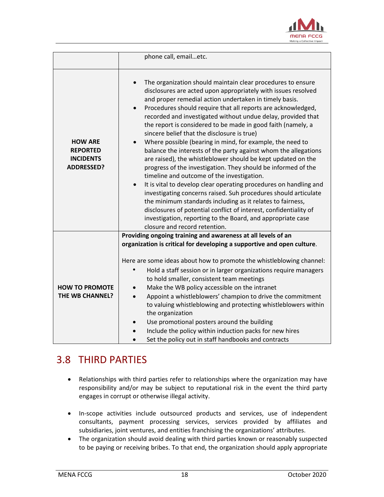

|                                                                            | phone call, emailetc.                                                                                                                                                                                                                                                                                                                                                                                                                                                                                                                                                                                                                                                                                                                                                                                                                                                                                                                                                                                                                                                                                                                                                               |
|----------------------------------------------------------------------------|-------------------------------------------------------------------------------------------------------------------------------------------------------------------------------------------------------------------------------------------------------------------------------------------------------------------------------------------------------------------------------------------------------------------------------------------------------------------------------------------------------------------------------------------------------------------------------------------------------------------------------------------------------------------------------------------------------------------------------------------------------------------------------------------------------------------------------------------------------------------------------------------------------------------------------------------------------------------------------------------------------------------------------------------------------------------------------------------------------------------------------------------------------------------------------------|
| <b>HOW ARE</b><br><b>REPORTED</b><br><b>INCIDENTS</b><br><b>ADDRESSED?</b> | The organization should maintain clear procedures to ensure<br>$\bullet$<br>disclosures are acted upon appropriately with issues resolved<br>and proper remedial action undertaken in timely basis.<br>Procedures should require that all reports are acknowledged,<br>$\bullet$<br>recorded and investigated without undue delay, provided that<br>the report is considered to be made in good faith (namely, a<br>sincere belief that the disclosure is true)<br>Where possible (bearing in mind, for example, the need to<br>$\bullet$<br>balance the interests of the party against whom the allegations<br>are raised), the whistleblower should be kept updated on the<br>progress of the investigation. They should be informed of the<br>timeline and outcome of the investigation.<br>It is vital to develop clear operating procedures on handling and<br>$\bullet$<br>investigating concerns raised. Suh procedures should articulate<br>the minimum standards including as it relates to fairness,<br>disclosures of potential conflict of interest, confidentiality of<br>investigation, reporting to the Board, and appropriate case<br>closure and record retention. |
| <b>HOW TO PROMOTE</b><br>THE WB CHANNEL?                                   | Providing ongoing training and awareness at all levels of an<br>organization is critical for developing a supportive and open culture.<br>Here are some ideas about how to promote the whistleblowing channel:<br>Hold a staff session or in larger organizations require managers<br>to hold smaller, consistent team meetings<br>Make the WB policy accessible on the intranet<br>Appoint a whistleblowers' champion to drive the commitment<br>to valuing whistleblowing and protecting whistleblowers within<br>the organization<br>Use promotional posters around the building<br>Include the policy within induction packs for new hires<br>Set the policy out in staff handbooks and contracts                                                                                                                                                                                                                                                                                                                                                                                                                                                                               |

### <span id="page-17-0"></span>3.8 THIRD PARTIES

- Relationships with third parties refer to relationships where the organization may have responsibility and/or may be subject to reputational risk in the event the third party engages in corrupt or otherwise illegal activity.
- In-scope activities include outsourced products and services, use of independent consultants, payment processing services, services provided by affiliates and subsidiaries, joint ventures, and entities franchising the organizations' attributes.
- The organization should avoid dealing with third parties known or reasonably suspected to be paying or receiving bribes. To that end, the organization should apply appropriate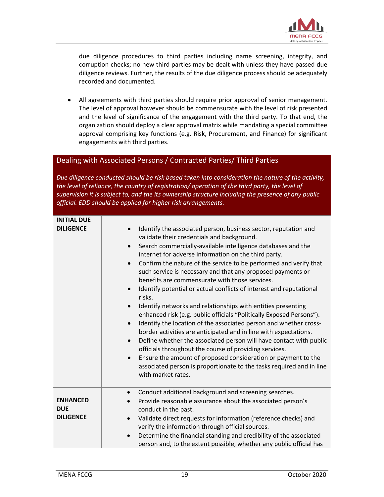

due diligence procedures to third parties including name screening, integrity, and corruption checks; no new third parties may be dealt with unless they have passed due diligence reviews. Further, the results of the due diligence process should be adequately recorded and documented.

 All agreements with third parties should require prior approval of senior management. The level of approval however should be commensurate with the level of risk presented and the level of significance of the engagement with the third party. To that end, the organization should deploy a clear approval matrix while mandating a special committee approval comprising key functions (e.g. Risk, Procurement, and Finance) for significant engagements with third parties.

### Dealing with Associated Persons / Contracted Parties/ Third Parties

*Due diligence conducted should be risk based taken into consideration the nature of the activity, the level of reliance, the country of registration/ operation of the third party, the level of supervision it is subject to, and the its ownership structure including the presence of any public official. EDD should be applied for higher risk arrangements.* 

| <b>INITIAL DUE</b><br><b>DILIGENCE</b>            | Identify the associated person, business sector, reputation and<br>$\bullet$<br>validate their credentials and background.<br>Search commercially-available intelligence databases and the<br>$\bullet$<br>internet for adverse information on the third party.<br>Confirm the nature of the service to be performed and verify that<br>$\bullet$<br>such service is necessary and that any proposed payments or<br>benefits are commensurate with those services.<br>Identify potential or actual conflicts of interest and reputational<br>$\bullet$<br>risks.<br>Identify networks and relationships with entities presenting<br>$\bullet$<br>enhanced risk (e.g. public officials "Politically Exposed Persons").<br>Identify the location of the associated person and whether cross-<br>$\bullet$<br>border activities are anticipated and in line with expectations.<br>Define whether the associated person will have contact with public<br>$\bullet$<br>officials throughout the course of providing services.<br>Ensure the amount of proposed consideration or payment to the<br>$\bullet$<br>associated person is proportionate to the tasks required and in line<br>with market rates. |
|---------------------------------------------------|------------------------------------------------------------------------------------------------------------------------------------------------------------------------------------------------------------------------------------------------------------------------------------------------------------------------------------------------------------------------------------------------------------------------------------------------------------------------------------------------------------------------------------------------------------------------------------------------------------------------------------------------------------------------------------------------------------------------------------------------------------------------------------------------------------------------------------------------------------------------------------------------------------------------------------------------------------------------------------------------------------------------------------------------------------------------------------------------------------------------------------------------------------------------------------------------------|
| <b>ENHANCED</b><br><b>DUE</b><br><b>DILIGENCE</b> | Conduct additional background and screening searches.<br>$\bullet$<br>Provide reasonable assurance about the associated person's<br>$\bullet$<br>conduct in the past.<br>Validate direct requests for information (reference checks) and<br>$\bullet$<br>verify the information through official sources.<br>Determine the financial standing and credibility of the associated<br>$\bullet$<br>person and, to the extent possible, whether any public official has                                                                                                                                                                                                                                                                                                                                                                                                                                                                                                                                                                                                                                                                                                                                  |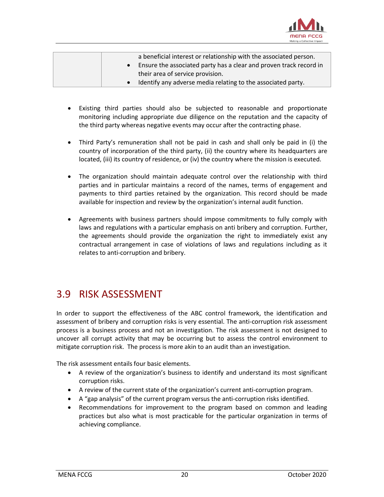

|  | a beneficial interest or relationship with the associated person.    |
|--|----------------------------------------------------------------------|
|  | • Ensure the associated party has a clear and proven track record in |
|  | their area of service provision.                                     |
|  | Identify any adverse media relating to the associated party.         |

- Existing third parties should also be subjected to reasonable and proportionate monitoring including appropriate due diligence on the reputation and the capacity of the third party whereas negative events may occur after the contracting phase.
- Third Party's remuneration shall not be paid in cash and shall only be paid in (i) the country of incorporation of the third party, (ii) the country where its headquarters are located, (iii) its country of residence, or (iv) the country where the mission is executed.
- The organization should maintain adequate control over the relationship with third parties and in particular maintains a record of the names, terms of engagement and payments to third parties retained by the organization. This record should be made available for inspection and review by the organization's internal audit function.
- Agreements with business partners should impose commitments to fully comply with laws and regulations with a particular emphasis on anti bribery and corruption. Further, the agreements should provide the organization the right to immediately exist any contractual arrangement in case of violations of laws and regulations including as it relates to anti-corruption and bribery.

### <span id="page-19-0"></span>3.9 RISK ASSESSMENT

In order to support the effectiveness of the ABC control framework, the identification and assessment of bribery and corruption risks is very essential. The anti-corruption risk assessment process is a business process and not an investigation. The risk assessment is not designed to uncover all corrupt activity that may be occurring but to assess the control environment to mitigate corruption risk. The process is more akin to an audit than an investigation.

The risk assessment entails four basic elements.

- A review of the organization's business to identify and understand its most significant corruption risks.
- A review of the current state of the organization's current anti-corruption program.
- A "gap analysis" of the current program versus the anti-corruption risks identified.
- Recommendations for improvement to the program based on common and leading practices but also what is most practicable for the particular organization in terms of achieving compliance.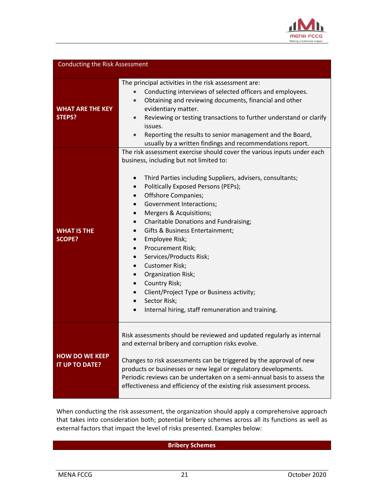

| <b>Conducting the Risk Assessment</b>   |                                                                                                                                                                                                                                                                                                                                                                                                                                                                                                                                                                                                                                                                                                       |
|-----------------------------------------|-------------------------------------------------------------------------------------------------------------------------------------------------------------------------------------------------------------------------------------------------------------------------------------------------------------------------------------------------------------------------------------------------------------------------------------------------------------------------------------------------------------------------------------------------------------------------------------------------------------------------------------------------------------------------------------------------------|
| <b>WHAT ARE THE KEY</b><br>STEPS?       | The principal activities in the risk assessment are:<br>Conducting interviews of selected officers and employees.<br>Obtaining and reviewing documents, financial and other<br>$\bullet$<br>evidentiary matter.<br>Reviewing or testing transactions to further understand or clarify<br>$\bullet$<br>issues.<br>Reporting the results to senior management and the Board,<br>usually by a written findings and recommendations report.                                                                                                                                                                                                                                                               |
| <b>WHAT IS THE</b><br><b>SCOPE?</b>     | The risk assessment exercise should cover the various inputs under each<br>business, including but not limited to:<br>Third Parties including Suppliers, advisers, consultants;<br>$\bullet$<br>Politically Exposed Persons (PEPs);<br>Offshore Companies;<br>$\bullet$<br>Government Interactions;<br>Mergers & Acquisitions;<br>Charitable Donations and Fundraising;<br>$\bullet$<br>Gifts & Business Entertainment;<br>Employee Risk;<br>Procurement Risk;<br>$\bullet$<br>Services/Products Risk;<br>$\bullet$<br><b>Customer Risk;</b><br>Organization Risk;<br>Country Risk;<br>Client/Project Type or Business activity;<br>Sector Risk;<br>Internal hiring, staff remuneration and training. |
| <b>HOW DO WE KEEP</b><br>IT UP TO DATE? | Risk assessments should be reviewed and updated regularly as internal<br>and external bribery and corruption risks evolve.<br>Changes to risk assessments can be triggered by the approval of new<br>products or businesses or new legal or regulatory developments.<br>Periodic reviews can be undertaken on a semi-annual basis to assess the<br>effectiveness and efficiency of the existing risk assessment process.                                                                                                                                                                                                                                                                              |

When conducting the risk assessment, the organization should apply a comprehensive approach that takes into consideration both; potential bribery schemes across all its functions as well as external factors that impact the level of risks presented. Examples below:

#### **Bribery Schemes**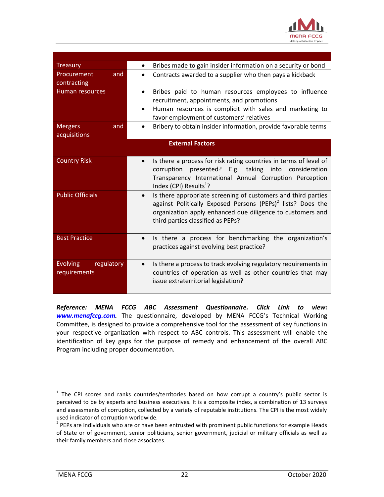

| <b>Treasury</b>                               | Bribes made to gain insider information on a security or bond<br>$\bullet$                                                                                                                                                                               |
|-----------------------------------------------|----------------------------------------------------------------------------------------------------------------------------------------------------------------------------------------------------------------------------------------------------------|
| Procurement<br>and<br>contracting             | Contracts awarded to a supplier who then pays a kickback<br>$\bullet$                                                                                                                                                                                    |
| <b>Human resources</b>                        | Bribes paid to human resources employees to influence<br>$\bullet$<br>recruitment, appointments, and promotions                                                                                                                                          |
|                                               | Human resources is complicit with sales and marketing to<br>$\bullet$<br>favor employment of customers' relatives                                                                                                                                        |
| <b>Mergers</b><br>and<br>acquisitions         | Bribery to obtain insider information, provide favorable terms                                                                                                                                                                                           |
|                                               | <b>External Factors</b>                                                                                                                                                                                                                                  |
| <b>Country Risk</b>                           | Is there a process for risk rating countries in terms of level of<br>corruption presented? E.g. taking into consideration<br>Transparency International Annual Corruption Perception<br>Index (CPI) Results <sup>1</sup> ?                               |
| <b>Public Officials</b>                       | Is there appropriate screening of customers and third parties<br>$\bullet$<br>against Politically Exposed Persons (PEPs) <sup>2</sup> lists? Does the<br>organization apply enhanced due diligence to customers and<br>third parties classified as PEPs? |
| <b>Best Practice</b>                          | Is there a process for benchmarking the organization's<br>$\bullet$<br>practices against evolving best practice?                                                                                                                                         |
| <b>Evolving</b><br>regulatory<br>requirements | Is there a process to track evolving regulatory requirements in<br>$\bullet$<br>countries of operation as well as other countries that may<br>issue extraterritorial legislation?                                                                        |

*Reference: MENA FCCG ABC Assessment Questionnaire. Click Link to view: [www.menafccg.com.](http://www.menafccg.com/)* The questionnaire, developed by MENA FCCG's Technical Working Committee, is designed to provide a comprehensive tool for the assessment of key functions in your respective organization with respect to ABC controls. This assessment will enable the identification of key gaps for the purpose of remedy and enhancement of the overall ABC Program including proper documentation.

 $\overline{\phantom{a}}$ 

<sup>&</sup>lt;sup>1</sup> The CPI scores and ranks countries/territories based on how corrupt a country's public sector is perceived to be by experts and business executives. It is a composite index, a combination of 13 surveys and assessments of corruption, collected by a variety of reputable institutions. The CPI is the most widely used indicator of corruption worldwide.

 $2$  PEPs are individuals who are or have been entrusted with prominent public functions for example Heads of State or of government, senior politicians, senior government, judicial or military officials as well as their family members and close associates.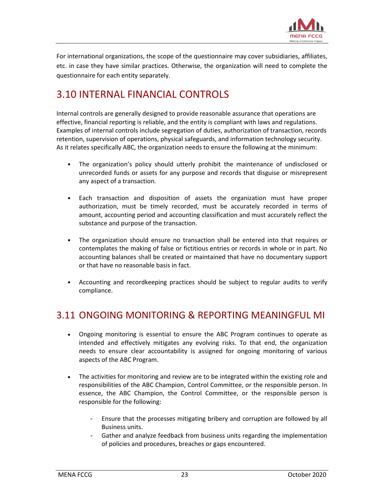

For international organizations, the scope of the questionnaire may cover subsidiaries, affiliates, etc. in case they have similar practices. Otherwise, the organization will need to complete the questionnaire for each entity separately.

### <span id="page-22-0"></span>3.10 INTERNAL FINANCIAL CONTROLS

Internal controls are generally designed to provide reasonable assurance that operations are effective, financial reporting is reliable, and the entity is compliant with laws and regulations. Examples of internal controls include segregation of duties, authorization of transaction, records retention, supervision of operations, physical safeguards, and information technology security. As it relates specifically ABC, the organization needs to ensure the following at the minimum:

- The organization's policy should utterly prohibit the maintenance of undisclosed or unrecorded funds or assets for any purpose and records that disguise or misrepresent any aspect of a transaction.
- Each transaction and disposition of assets the organization must have proper authorization, must be timely recorded, must be accurately recorded in terms of amount, accounting period and accounting classification and must accurately reflect the substance and purpose of the transaction.
- The organization should ensure no transaction shall be entered into that requires or contemplates the making of false or fictitious entries or records in whole or in part. No accounting balances shall be created or maintained that have no documentary support or that have no reasonable basis in fact.
- Accounting and recordkeeping practices should be subject to regular audits to verify compliance.

### <span id="page-22-1"></span>3.11 ONGOING MONITORING & REPORTING MEANINGFUL MI

- Ongoing monitoring is essential to ensure the ABC Program continues to operate as intended and effectively mitigates any evolving risks. To that end, the organization needs to ensure clear accountability is assigned for ongoing monitoring of various aspects of the ABC Program.
- The activities for monitoring and review are to be integrated within the existing role and responsibilities of the ABC Champion, Control Committee, or the responsible person. In essence, the ABC Champion, the Control Committee, or the responsible person is responsible for the following:
	- Ensure that the processes mitigating bribery and corruption are followed by all Business units.
	- Gather and analyze feedback from business units regarding the implementation of policies and procedures, breaches or gaps encountered.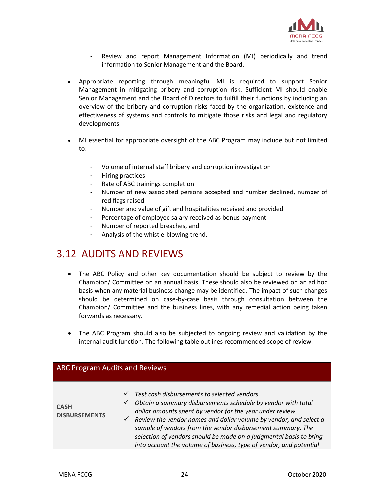

- Review and report Management Information (MI) periodically and trend information to Senior Management and the Board.
- Appropriate reporting through meaningful MI is required to support Senior Management in mitigating bribery and corruption risk. Sufficient MI should enable Senior Management and the Board of Directors to fulfill their functions by including an overview of the bribery and corruption risks faced by the organization, existence and effectiveness of systems and controls to mitigate those risks and legal and regulatory developments.
- MI essential for appropriate oversight of the ABC Program may include but not limited to:
	- Volume of internal staff bribery and corruption investigation
	- Hiring practices
	- Rate of ABC trainings completion
	- Number of new associated persons accepted and number declined, number of red flags raised
	- Number and value of gift and hospitalities received and provided
	- Percentage of employee salary received as bonus payment
	- Number of reported breaches, and
	- Analysis of the whistle-blowing trend.

### <span id="page-23-0"></span>3.12 AUDITS AND REVIEWS

- The ABC Policy and other key documentation should be subject to review by the Champion/ Committee on an annual basis. These should also be reviewed on an ad hoc basis when any material business change may be identified. The impact of such changes should be determined on case-by-case basis through consultation between the Champion/ Committee and the business lines, with any remedial action being taken forwards as necessary.
- The ABC Program should also be subjected to ongoing review and validation by the internal audit function. The following table outlines recommended scope of review:

|                                     | <b>ABC Program Audits and Reviews</b>                                                                                                                                                                                                                                                                                                                                                                                                                                                                  |
|-------------------------------------|--------------------------------------------------------------------------------------------------------------------------------------------------------------------------------------------------------------------------------------------------------------------------------------------------------------------------------------------------------------------------------------------------------------------------------------------------------------------------------------------------------|
| <b>CASH</b><br><b>DISBURSEMENTS</b> | Test cash disbursements to selected vendors.<br>$\checkmark$<br>Obtain a summary disbursements schedule by vendor with total<br>$\checkmark$<br>dollar amounts spent by vendor for the year under review.<br>$\checkmark$ Review the vendor names and dollar volume by vendor, and select a<br>sample of vendors from the vendor disbursement summary. The<br>selection of vendors should be made on a judgmental basis to bring<br>into account the volume of business, type of vendor, and potential |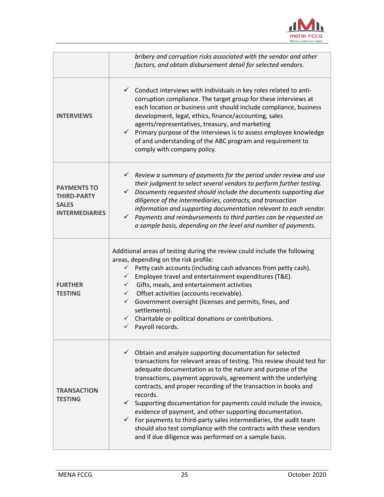

|                                                                                   | bribery and corruption risks associated with the vendor and other<br>factors, and obtain disbursement detail for selected vendors.                                                                                                                                                                                                                                                                                                                                                                                                                                                                                                                                                                                             |
|-----------------------------------------------------------------------------------|--------------------------------------------------------------------------------------------------------------------------------------------------------------------------------------------------------------------------------------------------------------------------------------------------------------------------------------------------------------------------------------------------------------------------------------------------------------------------------------------------------------------------------------------------------------------------------------------------------------------------------------------------------------------------------------------------------------------------------|
| <b>INTERVIEWS</b>                                                                 | $\checkmark$ Conduct interviews with individuals in key roles related to anti-<br>corruption compliance. The target group for these interviews at<br>each location or business unit should include compliance, business<br>development, legal, ethics, finance/accounting, sales<br>agents/representatives, treasury, and marketing<br>$\checkmark$ Primary purpose of the interviews is to assess employee knowledge<br>of and understanding of the ABC program and requirement to<br>comply with company policy.                                                                                                                                                                                                             |
| <b>PAYMENTS TO</b><br><b>THIRD-PARTY</b><br><b>SALES</b><br><b>INTERMEDIARIES</b> | $\checkmark$ Review a summary of payments for the period under review and use<br>their judgment to select several vendors to perform further testing.<br>Documents requested should include the documents supporting due<br>✓<br>diligence of the intermediaries, contracts, and transaction<br>information and supporting documentation relevant to each vendor.<br>$\checkmark$ Payments and reimbursements to third parties can be requested on<br>a sample basis, depending on the level and number of payments.                                                                                                                                                                                                           |
| <b>FURTHER</b><br><b>TESTING</b>                                                  | Additional areas of testing during the review could include the following<br>areas, depending on the risk profile:<br>$\checkmark$ Petty cash accounts (including cash advances from petty cash).<br>$\checkmark$ Employee travel and entertainment expenditures (T&E).<br>$\checkmark$<br>Gifts, meals, and entertainment activities<br>Offset activities (accounts receivable).<br>$\checkmark$<br>$\checkmark$<br>Government oversight (licenses and permits, fines, and<br>settlements).<br>$\checkmark$ Charitable or political donations or contributions.<br>Payroll records.                                                                                                                                           |
| <b>TRANSACTION</b><br><b>TESTING</b>                                              | $\checkmark$ Obtain and analyze supporting documentation for selected<br>transactions for relevant areas of testing. This review should test for<br>adequate documentation as to the nature and purpose of the<br>transactions, payment approvals, agreement with the underlying<br>contracts, and proper recording of the transaction in books and<br>records.<br>Supporting documentation for payments could include the invoice,<br>$\checkmark$<br>evidence of payment, and other supporting documentation.<br>$\checkmark$ For payments to third-party sales intermediaries, the audit team<br>should also test compliance with the contracts with these vendors<br>and if due diligence was performed on a sample basis. |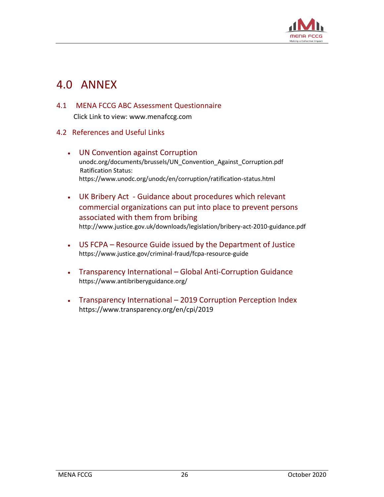

## <span id="page-25-0"></span>4.0 ANNEX

<span id="page-25-1"></span>4.1 MENA FCCG ABC Assessment Questionnaire

Click Link to view: [www.menafccg.com](http://www.menafccg.com/)

- <span id="page-25-2"></span>4.2 References and Useful Links
	- UN Convention against Corruption [unodc.org/documents/brussels/UN\\_Convention\\_Against\\_Corruption.pdf](https://www.unodc.org/documents/brussels/UN_Convention_Against_Corruption.pdf) Ratification Status: <https://www.unodc.org/unodc/en/corruption/ratification-status.html>
	- UK Bribery Act Guidance about procedures which relevant commercial organizations can put into place to prevent persons associated with them from bribing http://www.justice.gov.uk/downloads/legislation/bribery-act-2010-guidance.pdf
	- US FCPA Resource Guide issued by the Department of Justice https://www.justice.gov/criminal-fraud/fcpa-resource-guide
	- Transparency International Global Anti-Corruption Guidance https://www.antibriberyguidance.org/
	- Transparency International 2019 Corruption Perception Index <https://www.transparency.org/en/cpi/2019>